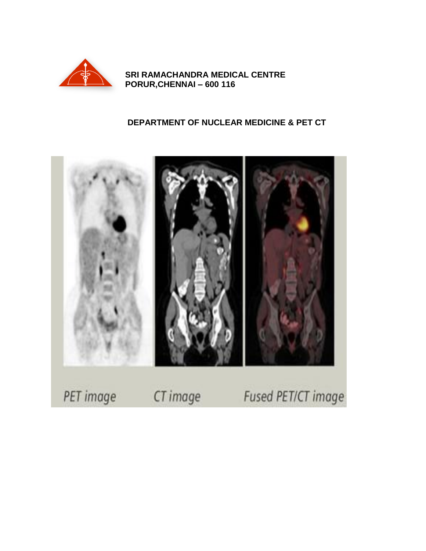

SRI RAMACHANDRA MEDICAL CENTRE PORUR, CHENNAI - 600 116

# DEPARTMENT OF NUCLEAR MEDICINE & PET CT

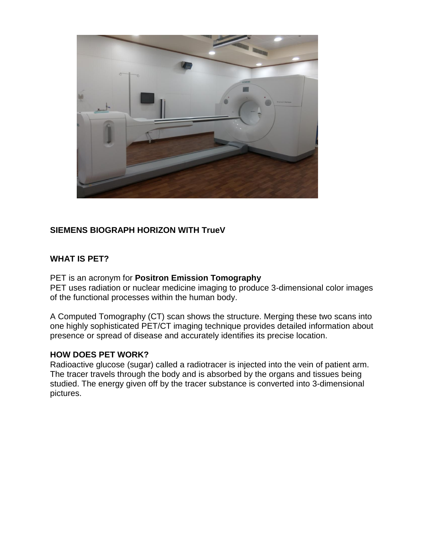

# **SIEMENS BIOGRAPH HORIZON WITH TrueV**

#### **WHAT IS PET?**

PET is an acronym for **Positron Emission Tomography**

PET uses radiation or nuclear medicine imaging to produce 3-dimensional color images of the functional processes within the human body.

A Computed Tomography (CT) scan shows the structure. Merging these two scans into one highly sophisticated PET/CT imaging technique provides detailed information about presence or spread of disease and accurately identifies its precise location.

#### **HOW DOES PET WORK?**

Radioactive glucose (sugar) called a radiotracer is injected into the vein of patient arm. The tracer travels through the body and is absorbed by the organs and tissues being studied. The energy given off by the tracer substance is converted into 3-dimensional pictures.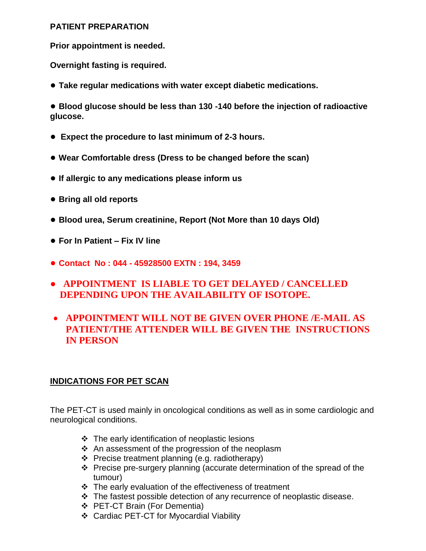#### **PATIENT PREPARATION**

**Prior appointment is needed.**

**Overnight fasting is required.**

**● Take regular medications with water except diabetic medications.** 

**● Blood glucose should be less than 130 -140 before the injection of radioactive glucose.** 

- **● Expect the procedure to last minimum of 2-3 hours.**
- **Wear Comfortable dress (Dress to be changed before the scan)**
- **If allergic to any medications please inform us**
- **Bring all old reports**
- **Blood urea, Serum creatinine, Report (Not More than 10 days Old)**
- **For In Patient – Fix IV line**
- **Contact No : 044 - 45928500 EXTN : 194, 3459**
- ● **APPOINTMENT IS LIABLE TO GET DELAYED / CANCELLED DEPENDING UPON THE AVAILABILITY OF ISOTOPE.**
- **APPOINTMENT WILL NOT BE GIVEN OVER PHONE /E-MAIL AS PATIENT/THE ATTENDER WILL BE GIVEN THE INSTRUCTIONS IN PERSON**

## **INDICATIONS FOR PET SCAN**

The PET-CT is used mainly in oncological conditions as well as in some cardiologic and neurological conditions.

- $\div$  The early identification of neoplastic lesions
- $\div$  An assessment of the progression of the neoplasm
- $\div$  Precise treatment planning (e.g. radiotherapy)
- Precise pre-surgery planning (accurate determination of the spread of the tumour)
- $\div$  The early evaluation of the effectiveness of treatment
- The fastest possible detection of any recurrence of neoplastic disease.
- **↑ PET-CT Brain (For Dementia)**
- Cardiac PET-CT for Myocardial Viability